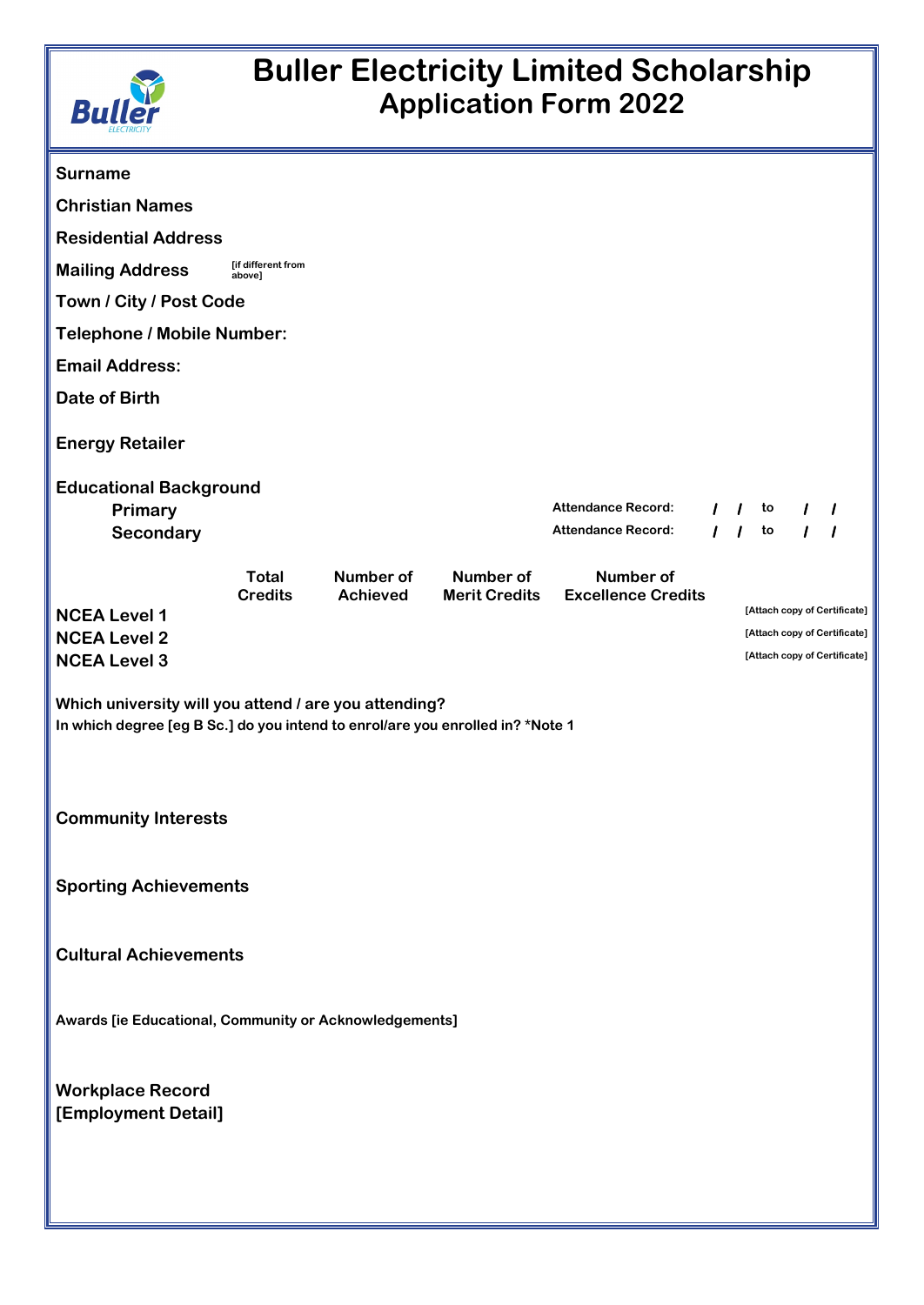

## **Buller Electricity Limited Scholarship Application Form 2022**

| <b>Surname</b>                                                                                                                                                        |                                |                              |                           |                                                 |    |    |                                                              |
|-----------------------------------------------------------------------------------------------------------------------------------------------------------------------|--------------------------------|------------------------------|---------------------------|-------------------------------------------------|----|----|--------------------------------------------------------------|
| <b>Christian Names</b>                                                                                                                                                |                                |                              |                           |                                                 |    |    |                                                              |
| <b>Residential Address</b>                                                                                                                                            |                                |                              |                           |                                                 |    |    |                                                              |
| <b>Mailing Address</b>                                                                                                                                                | [if different from<br>above]   |                              |                           |                                                 |    |    |                                                              |
| Town / City / Post Code                                                                                                                                               |                                |                              |                           |                                                 |    |    |                                                              |
| <b>Telephone / Mobile Number:</b>                                                                                                                                     |                                |                              |                           |                                                 |    |    |                                                              |
| <b>Email Address:</b>                                                                                                                                                 |                                |                              |                           |                                                 |    |    |                                                              |
| <b>Date of Birth</b>                                                                                                                                                  |                                |                              |                           |                                                 |    |    |                                                              |
| <b>Energy Retailer</b>                                                                                                                                                |                                |                              |                           |                                                 |    |    |                                                              |
| <b>Educational Background</b>                                                                                                                                         |                                |                              |                           |                                                 |    |    |                                                              |
| Primary                                                                                                                                                               |                                |                              | <b>Attendance Record:</b> |                                                 | to |    |                                                              |
| Secondary                                                                                                                                                             |                                |                              |                           | Attendance Record:                              |    | to |                                                              |
|                                                                                                                                                                       | <b>Total</b><br><b>Credits</b> | Number of<br><b>Achieved</b> | Number of                 | Number of<br>Merit Credits   Excellence Credits |    |    |                                                              |
| <b>NCEA Level 1</b>                                                                                                                                                   |                                |                              |                           |                                                 |    |    | [Attach copy of Certificate]<br>[Attach copy of Certificate] |
| <b>NCEA Level 2</b><br><b>NCEA Level 3</b>                                                                                                                            |                                |                              |                           |                                                 |    |    | [Attach copy of Certificate]                                 |
| Which university will you attend / are you attending?<br>In which degree [eg B Sc.] do you intend to enrol/are you enrolled in? *Note 1<br><b>Community Interests</b> |                                |                              |                           |                                                 |    |    |                                                              |
| <b>Sporting Achievements</b>                                                                                                                                          |                                |                              |                           |                                                 |    |    |                                                              |
| <b>Cultural Achievements</b>                                                                                                                                          |                                |                              |                           |                                                 |    |    |                                                              |
| Awards [ie Educational, Community or Acknowledgements]                                                                                                                |                                |                              |                           |                                                 |    |    |                                                              |
| <b>Workplace Record</b><br>[Employment Detail]                                                                                                                        |                                |                              |                           |                                                 |    |    |                                                              |
|                                                                                                                                                                       |                                |                              |                           |                                                 |    |    |                                                              |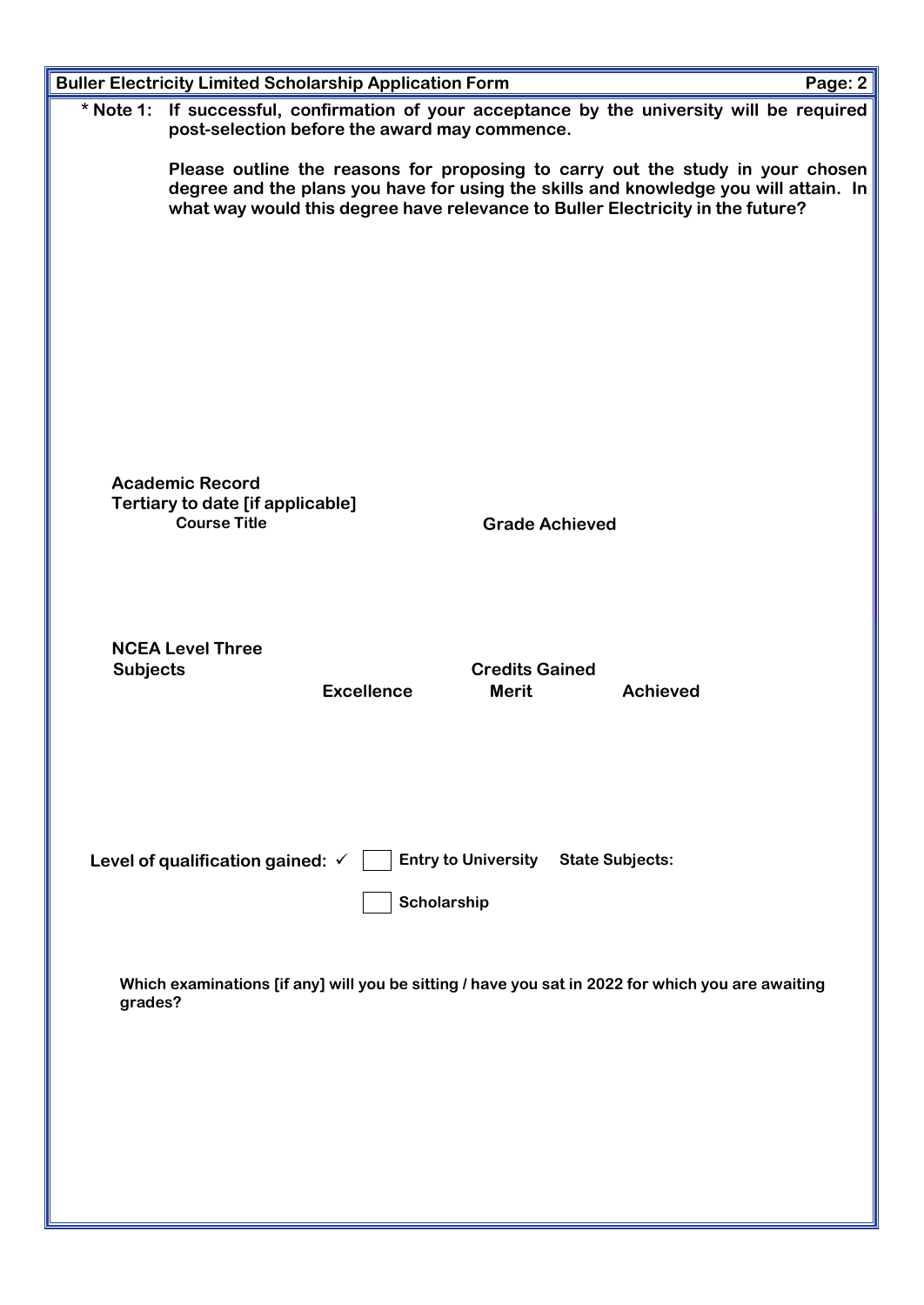|                 |                                                                                                                                                                                                                                                          | <b>Buller Electricity Limited Scholarship Application Form</b>                      |                       |                                                                                                   | Page: 2 |  |  |
|-----------------|----------------------------------------------------------------------------------------------------------------------------------------------------------------------------------------------------------------------------------------------------------|-------------------------------------------------------------------------------------|-----------------------|---------------------------------------------------------------------------------------------------|---------|--|--|
| $*$ Note 1:     |                                                                                                                                                                                                                                                          | post-selection before the award may commence.                                       |                       | If successful, confirmation of your acceptance by the university will be required                 |         |  |  |
|                 | Please outline the reasons for proposing to carry out the study in your chosen<br>degree and the plans you have for using the skills and knowledge you will attain. In<br>what way would this degree have relevance to Buller Electricity in the future? |                                                                                     |                       |                                                                                                   |         |  |  |
|                 |                                                                                                                                                                                                                                                          |                                                                                     |                       |                                                                                                   |         |  |  |
|                 |                                                                                                                                                                                                                                                          |                                                                                     |                       |                                                                                                   |         |  |  |
|                 |                                                                                                                                                                                                                                                          |                                                                                     |                       |                                                                                                   |         |  |  |
|                 |                                                                                                                                                                                                                                                          |                                                                                     |                       |                                                                                                   |         |  |  |
|                 | <b>Academic Record</b><br><b>Tertiary to date [if applicable]</b><br><b>Course Title</b>                                                                                                                                                                 |                                                                                     |                       |                                                                                                   |         |  |  |
|                 |                                                                                                                                                                                                                                                          |                                                                                     | <b>Grade Achieved</b> |                                                                                                   |         |  |  |
|                 |                                                                                                                                                                                                                                                          |                                                                                     |                       |                                                                                                   |         |  |  |
| <b>Subjects</b> | <b>NCEA Level Three</b>                                                                                                                                                                                                                                  |                                                                                     | <b>Credits Gained</b> |                                                                                                   |         |  |  |
|                 |                                                                                                                                                                                                                                                          | <b>Excellence</b>                                                                   | <b>Merit</b>          | <b>Achieved</b>                                                                                   |         |  |  |
|                 |                                                                                                                                                                                                                                                          |                                                                                     |                       |                                                                                                   |         |  |  |
|                 |                                                                                                                                                                                                                                                          |                                                                                     |                       |                                                                                                   |         |  |  |
|                 |                                                                                                                                                                                                                                                          | Level of qualification gained: $\checkmark$     Entry to University State Subjects: |                       |                                                                                                   |         |  |  |
|                 |                                                                                                                                                                                                                                                          | Scholarship                                                                         |                       |                                                                                                   |         |  |  |
| grades?         |                                                                                                                                                                                                                                                          |                                                                                     |                       | Which examinations [if any] will you be sitting / have you sat in 2022 for which you are awaiting |         |  |  |
|                 |                                                                                                                                                                                                                                                          |                                                                                     |                       |                                                                                                   |         |  |  |
|                 |                                                                                                                                                                                                                                                          |                                                                                     |                       |                                                                                                   |         |  |  |
|                 |                                                                                                                                                                                                                                                          |                                                                                     |                       |                                                                                                   |         |  |  |
|                 |                                                                                                                                                                                                                                                          |                                                                                     |                       |                                                                                                   |         |  |  |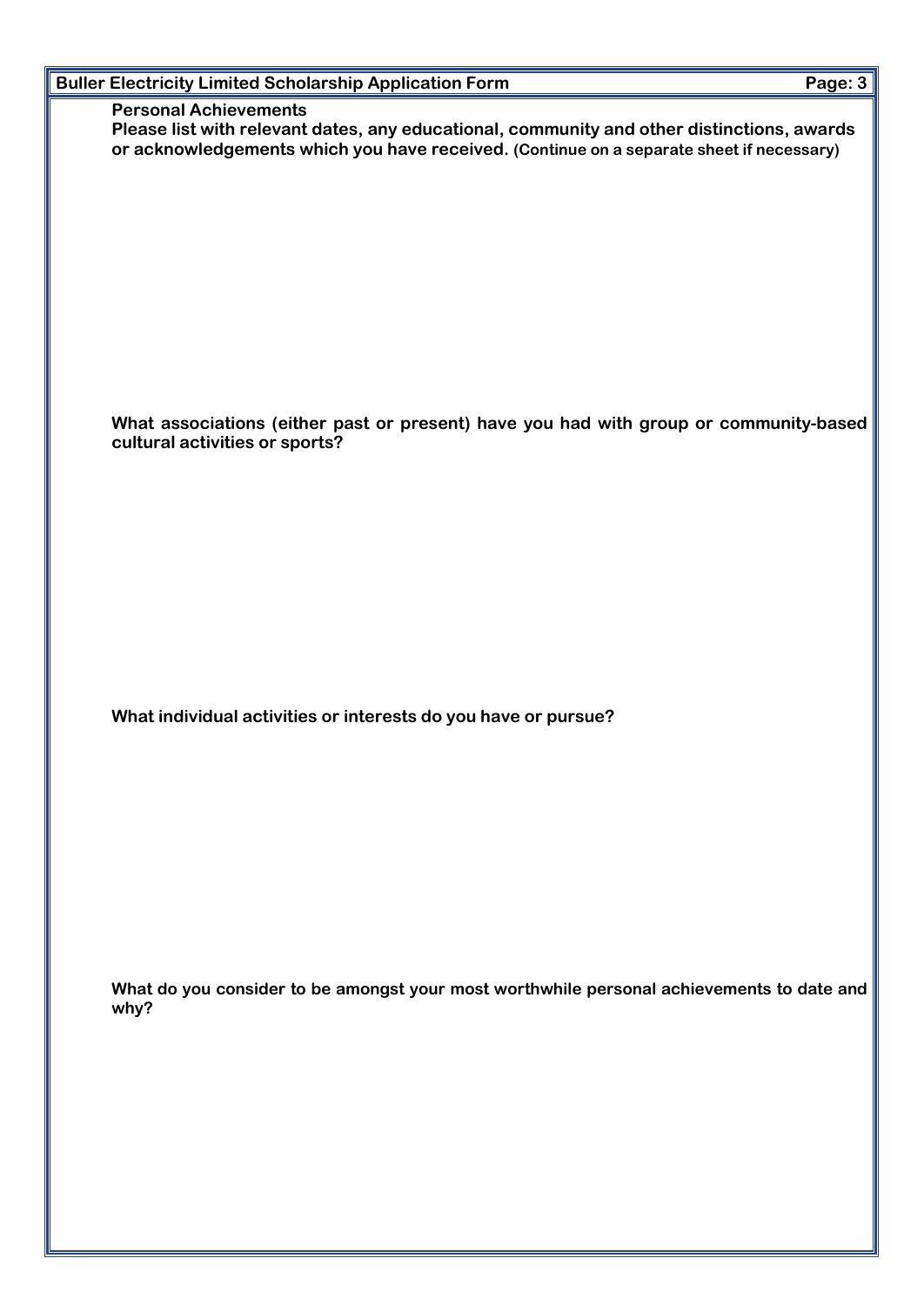| <b>Buller Electricity Limited Scholarship Application Form</b>                                                                                                                                                         | Page: 3 |
|------------------------------------------------------------------------------------------------------------------------------------------------------------------------------------------------------------------------|---------|
| <b>Personal Achievements</b><br>Please list with relevant dates, any educational, community and other distinctions, awards<br>or acknowledgements which you have received. (Continue on a separate sheet if necessary) |         |
|                                                                                                                                                                                                                        |         |
|                                                                                                                                                                                                                        |         |
|                                                                                                                                                                                                                        |         |
|                                                                                                                                                                                                                        |         |
|                                                                                                                                                                                                                        |         |
|                                                                                                                                                                                                                        |         |
|                                                                                                                                                                                                                        |         |
| What associations (either past or present) have you had with group or community-based                                                                                                                                  |         |
| cultural activities or sports?                                                                                                                                                                                         |         |
|                                                                                                                                                                                                                        |         |
|                                                                                                                                                                                                                        |         |
|                                                                                                                                                                                                                        |         |
|                                                                                                                                                                                                                        |         |
|                                                                                                                                                                                                                        |         |
|                                                                                                                                                                                                                        |         |
|                                                                                                                                                                                                                        |         |
| What individual activities or interests do you have or pursue?                                                                                                                                                         |         |
|                                                                                                                                                                                                                        |         |
|                                                                                                                                                                                                                        |         |
|                                                                                                                                                                                                                        |         |
|                                                                                                                                                                                                                        |         |
|                                                                                                                                                                                                                        |         |
|                                                                                                                                                                                                                        |         |
|                                                                                                                                                                                                                        |         |
|                                                                                                                                                                                                                        |         |
| What do you consider to be amongst your most worthwhile personal achievements to date and<br>why?                                                                                                                      |         |
|                                                                                                                                                                                                                        |         |
|                                                                                                                                                                                                                        |         |
|                                                                                                                                                                                                                        |         |
|                                                                                                                                                                                                                        |         |
|                                                                                                                                                                                                                        |         |
|                                                                                                                                                                                                                        |         |
|                                                                                                                                                                                                                        |         |